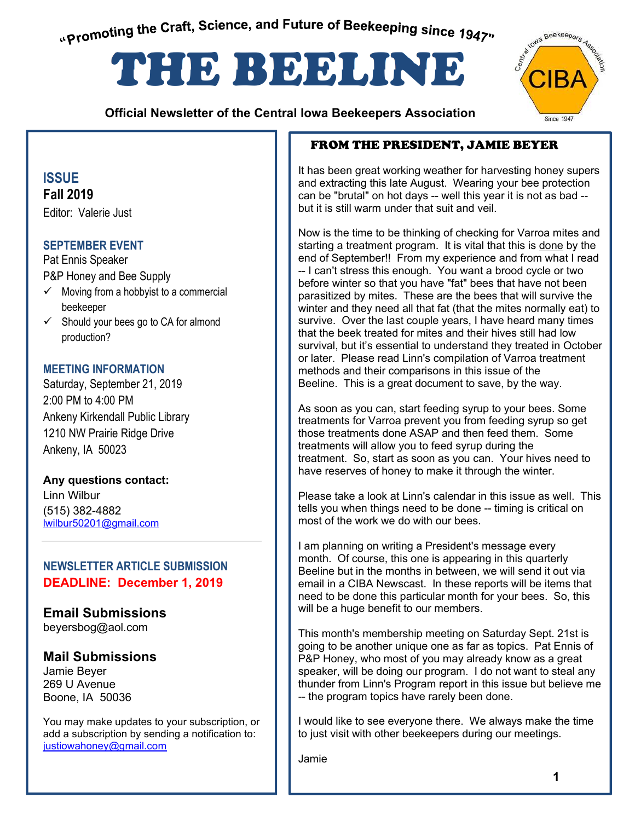<span id="page-0-0"></span>"Promoting the Craft, Science, and Future of Beekeeping since 1947"

# THE BEELINE

 **Official Newsletter of the Central Iowa Beekeepers Association** 



# **ISSUE Fall 2019**

Editor: Valerie Just

# **SEPTEMBER EVENT**

Pat Ennis Speaker P&P Honey and Bee Supply

- $\checkmark$  Moving from a hobbyist to a commercial beekeeper
- $\checkmark$  Should your bees go to CA for almond production?

## **MEETING INFORMATION**

Saturday, September 21, 2019 2:00 PM to 4:00 PM Ankeny Kirkendall Public Library 1210 NW Prairie Ridge Drive Ankeny, IA 50023

**Any questions contact:**  Linn Wilbur (515) 382-4882 lwilbur50201@gmail.com

# **NEWSLETTER ARTICLE SUBMISSION DEADLINE: December 1, 2019**

**Email Submissions** beyersbog@aol.com

# **Mail Submissions**

Jamie Beyer 269 U Avenue Boone, IA 50036

You may make updates to your subscription, or add a subscription by sending a notification to: justiowahoney@gmail.com

# FROM THE PRESIDENT, JAMIE BEYER

It has been great working weather for harvesting honey supers and extracting this late August. Wearing your bee protection can be "brutal" on hot days -- well this year it is not as bad - but it is still warm under that suit and veil.

Now is the time to be thinking of checking for Varroa mites and starting a treatment program. It is vital that this is done by the end of September!! From my experience and from what I read -- I can't stress this enough. You want a brood cycle or two before winter so that you have "fat" bees that have not been parasitized by mites. These are the bees that will survive the winter and they need all that fat (that the mites normally eat) to survive. Over the last couple years, I have heard many times that the beek treated for mites and their hives still had low survival, but it's essential to understand they treated in October or later. Please read Linn's compilation of Varroa treatment methods and their comparisons in this issue of the Beeline. This is a great document to save, by the way.

As soon as you can, start feeding syrup to your bees. Some treatments for Varroa prevent you from feeding syrup so get those treatments done ASAP and then feed them. Some treatments will allow you to feed syrup during the treatment. So, start as soon as you can. Your hives need to have reserves of honey to make it through the winter.

Please take a look at Linn's calendar in this issue as well. This tells you when things need to be done -- timing is critical on most of the work we do with our bees.

I am planning on writing a President's message every month. Of course, this one is appearing in this quarterly Beeline but in the months in between, we will send it out via email in a CIBA Newscast. In these reports will be items that need to be done this particular month for your bees. So, this will be a huge benefit to our members.

This month's membership meeting on Saturday Sept. 21st is going to be another unique one as far as topics. Pat Ennis of P&P Honey, who most of you may already know as a great speaker, will be doing our program. I do not want to steal any thunder from Linn's Program report in this issue but believe me -- the program topics have rarely been done.

I would like to see everyone there. We always make the time to just visit with other beekeepers during our meetings.

Jamie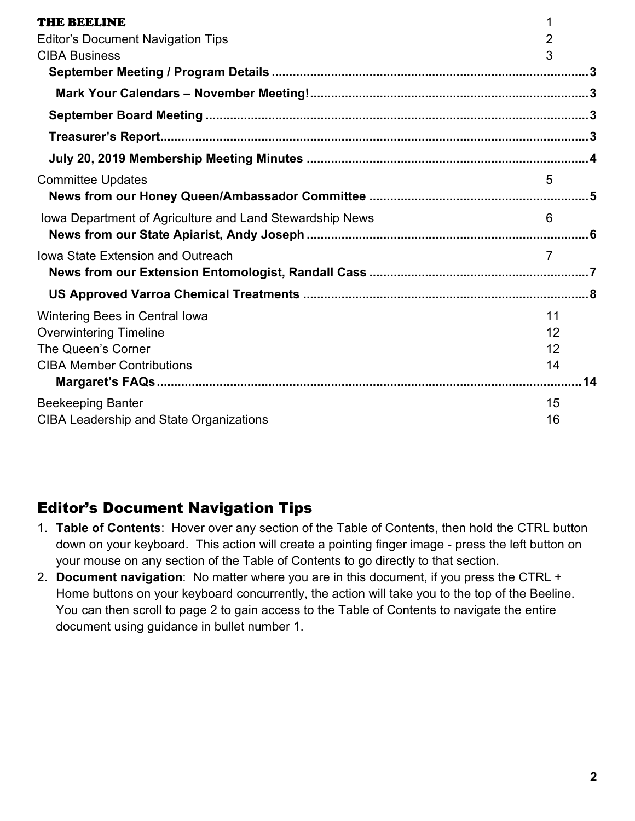| THE BEELINE                                              | 1              |
|----------------------------------------------------------|----------------|
| <b>Editor's Document Navigation Tips</b>                 | $\overline{2}$ |
| <b>CIBA Business</b>                                     | 3              |
|                                                          |                |
|                                                          |                |
|                                                          |                |
|                                                          |                |
|                                                          |                |
| <b>Committee Updates</b>                                 | 5              |
|                                                          |                |
| Iowa Department of Agriculture and Land Stewardship News | 6              |
|                                                          |                |
| <b>Iowa State Extension and Outreach</b>                 | $\overline{7}$ |
|                                                          |                |
|                                                          |                |
| Wintering Bees in Central lowa                           | 11             |
| <b>Overwintering Timeline</b>                            | 12             |
| The Queen's Corner                                       | 12             |
| <b>CIBA Member Contributions</b>                         | 14             |
|                                                          | 14             |
| <b>Beekeeping Banter</b>                                 | 15             |
| <b>CIBA Leadership and State Organizations</b>           | 16             |

# <span id="page-1-0"></span>Editor's Document Navigation Tips

- 1. **Table of Contents**: Hover over any section of the Table of Contents, then hold the CTRL button down on your keyboard. This action will create a pointing finger image - press the left button on your mouse on any section of the Table of Contents to go directly to that section.
- 2. **Document navigation**: No matter where you are in this document, if you press the CTRL + Home buttons on your keyboard concurrently, the action will take you to the top of the Beeline. You can then scroll to page 2 to gain access to the Table of Contents to navigate the entire document using guidance in bullet number 1.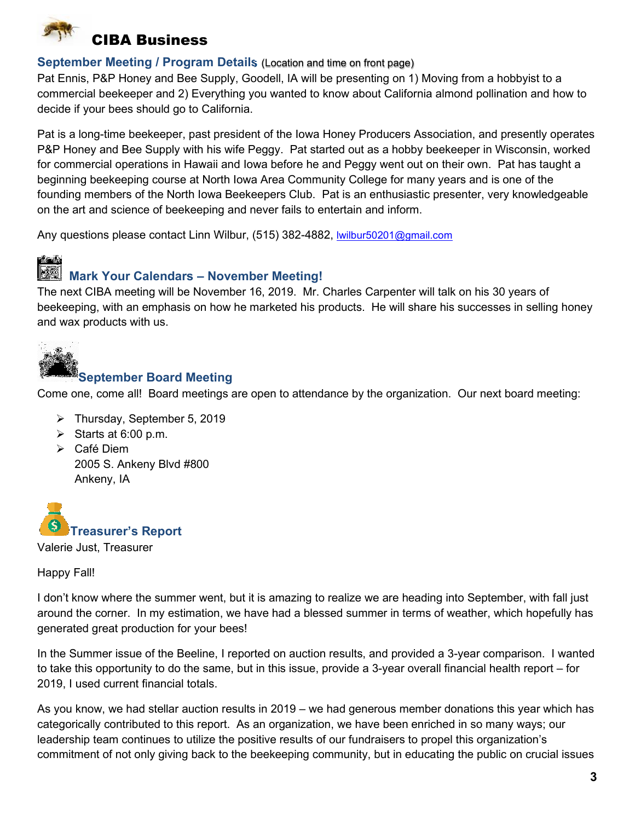<span id="page-2-0"></span>

## <span id="page-2-1"></span>**September Meeting / Program Details** (Location and time on front page)

Pat Ennis, P&P Honey and Bee Supply, Goodell, IA will be presenting on 1) Moving from a hobbyist to a commercial beekeeper and 2) Everything you wanted to know about California almond pollination and how to decide if your bees should go to California.

Pat is a long-time beekeeper, past president of the Iowa Honey Producers Association, and presently operates P&P Honey and Bee Supply with his wife Peggy. Pat started out as a hobby beekeeper in Wisconsin, worked for commercial operations in Hawaii and Iowa before he and Peggy went out on their own. Pat has taught a beginning beekeeping course at North Iowa Area Community College for many years and is one of the founding members of the North Iowa Beekeepers Club. Pat is an enthusiastic presenter, very knowledgeable on the art and science of beekeeping and never fails to entertain and inform.

Any questions please contact Linn Wilbur, (515) 382-4882, [lwilbur50201@gmail.com](mailto:lwilbur50201@gmail.com)

# <span id="page-2-2"></span> **Mark Your Calendars – November Meeting!**

The next CIBA meeting will be November 16, 2019. Mr. Charles Carpenter will talk on his 30 years of beekeeping, with an emphasis on how he marketed his products. He will share his successes in selling honey and wax products with us.

<span id="page-2-3"></span>

# **September Board Meeting**

Come one, come all! Board meetings are open to attendance by the organization. Our next board meeting:

- Thursday, September 5, 2019
- Starts at 6:00 p.m.
- Café Diem 2005 S. Ankeny Blvd #800 Ankeny, IA

<span id="page-2-4"></span>

Happy Fall!

I don't know where the summer went, but it is amazing to realize we are heading into September, with fall just around the corner. In my estimation, we have had a blessed summer in terms of weather, which hopefully has generated great production for your bees!

In the Summer issue of the Beeline, I reported on auction results, and provided a 3-year comparison. I wanted to take this opportunity to do the same, but in this issue, provide a 3-year overall financial health report – for 2019, I used current financial totals.

As you know, we had stellar auction results in 2019 – we had generous member donations this year which has categorically contributed to this report. As an organization, we have been enriched in so many ways; our leadership team continues to utilize the positive results of our fundraisers to propel this organization's commitment of not only giving back to the beekeeping community, but in educating the public on crucial issues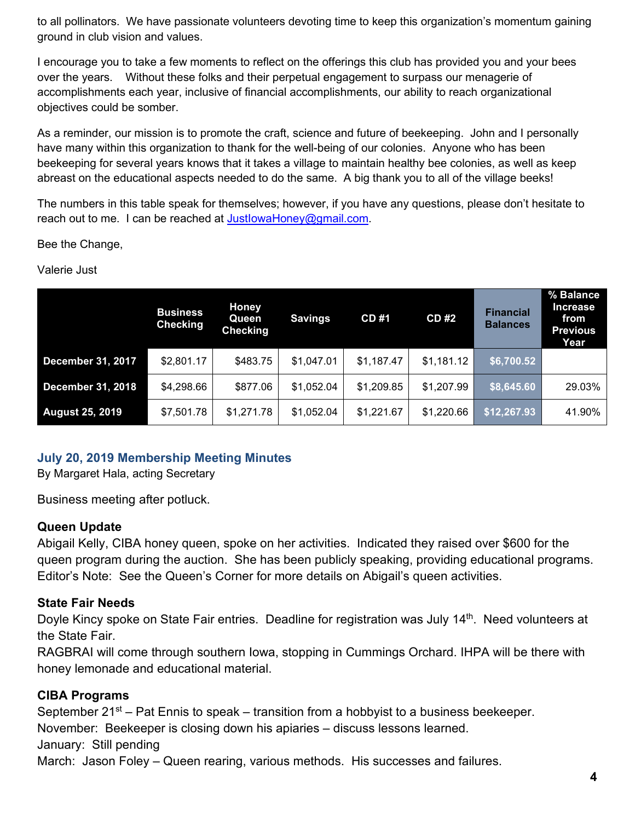to all pollinators. We have passionate volunteers devoting time to keep this organization's momentum gaining ground in club vision and values.

I encourage you to take a few moments to reflect on the offerings this club has provided you and your bees over the years. Without these folks and their perpetual engagement to surpass our menagerie of accomplishments each year, inclusive of financial accomplishments, our ability to reach organizational objectives could be somber.

As a reminder, our mission is to promote the craft, science and future of beekeeping. John and I personally have many within this organization to thank for the well-being of our colonies. Anyone who has been beekeeping for several years knows that it takes a village to maintain healthy bee colonies, as well as keep abreast on the educational aspects needed to do the same. A big thank you to all of the village beeks!

The numbers in this table speak for themselves; however, if you have any questions, please don't hesitate to reach out to me. I can be reached at JustlowaHoney@gmail.com.

Bee the Change,

Valerie Just

|                          | <b>Business</b><br><b>Checking</b> | <b>Honey</b><br>Queen<br><b>Checking</b> | <b>Savings</b> | <b>CD#1</b> | <b>CD#2</b> | <b>Financial</b><br><b>Balances</b> | % Balance<br><b>Increase</b><br>from<br><b>Previous</b><br>Year |  |
|--------------------------|------------------------------------|------------------------------------------|----------------|-------------|-------------|-------------------------------------|-----------------------------------------------------------------|--|
| <b>December 31, 2017</b> | \$2,801.17                         | \$483.75                                 | \$1,047.01     | \$1,187.47  | \$1,181.12  | \$6,700.52                          |                                                                 |  |
| <b>December 31, 2018</b> | \$4,298.66                         | \$877.06                                 | \$1,052.04     | \$1,209.85  | \$1,207.99  | \$8,645.60                          | 29.03%                                                          |  |
| <b>August 25, 2019</b>   | \$7,501.78                         | \$1,271.78                               | \$1,052.04     | \$1,221.67  | \$1,220.66  | \$12,267.93                         | 41.90%                                                          |  |

# <span id="page-3-0"></span>**July 20, 2019 Membership Meeting Minutes**

By Margaret Hala, acting Secretary

Business meeting after potluck.

# **Queen Update**

Abigail Kelly, CIBA honey queen, spoke on her activities. Indicated they raised over \$600 for the queen program during the auction. She has been publicly speaking, providing educational programs. Editor's Note: See the Queen's Corner for more details on Abigail's queen activities.

# **State Fair Needs**

Doyle Kincy spoke on State Fair entries. Deadline for registration was July 14<sup>th</sup>. Need volunteers at the State Fair.

RAGBRAI will come through southern Iowa, stopping in Cummings Orchard. IHPA will be there with honey lemonade and educational material.

# **CIBA Programs**

September  $21^{st}$  – Pat Ennis to speak – transition from a hobbyist to a business beekeeper. November: Beekeeper is closing down his apiaries – discuss lessons learned. January: Still pending

March: Jason Foley – Queen rearing, various methods. His successes and failures.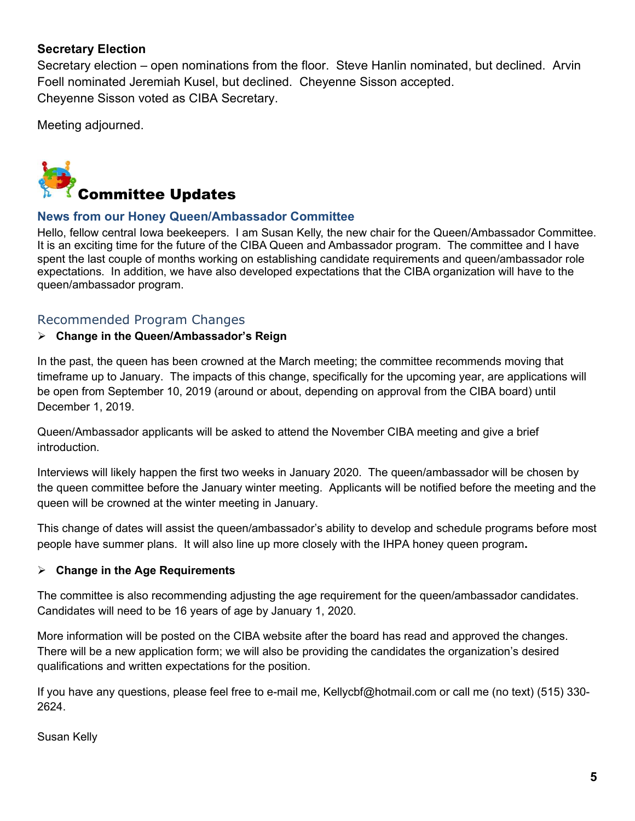# **Secretary Election**

Secretary election – open nominations from the floor. Steve Hanlin nominated, but declined. Arvin Foell nominated Jeremiah Kusel, but declined. Cheyenne Sisson accepted. Cheyenne Sisson voted as CIBA Secretary.

Meeting adjourned.

<span id="page-4-0"></span>

# <span id="page-4-1"></span>**News from our Honey Queen/Ambassador Committee**

Hello, fellow central Iowa beekeepers. I am Susan Kelly, the new chair for the Queen/Ambassador Committee. It is an exciting time for the future of the CIBA Queen and Ambassador program. The committee and I have spent the last couple of months working on establishing candidate requirements and queen/ambassador role expectations. In addition, we have also developed expectations that the CIBA organization will have to the queen/ambassador program.

# Recommended Program Changes

# **Change in the Queen/Ambassador's Reign**

In the past, the queen has been crowned at the March meeting; the committee recommends moving that timeframe up to January. The impacts of this change, specifically for the upcoming year, are applications will be open from September 10, 2019 (around or about, depending on approval from the CIBA board) until December 1, 2019.

Queen/Ambassador applicants will be asked to attend the November CIBA meeting and give a brief introduction.

Interviews will likely happen the first two weeks in January 2020. The queen/ambassador will be chosen by the queen committee before the January winter meeting. Applicants will be notified before the meeting and the queen will be crowned at the winter meeting in January.

This change of dates will assist the queen/ambassador's ability to develop and schedule programs before most people have summer plans. It will also line up more closely with the IHPA honey queen program**.** 

# **Change in the Age Requirements**

The committee is also recommending adjusting the age requirement for the queen/ambassador candidates. Candidates will need to be 16 years of age by January 1, 2020.

More information will be posted on the CIBA website after the board has read and approved the changes. There will be a new application form; we will also be providing the candidates the organization's desired qualifications and written expectations for the position.

If you have any questions, please feel free to e-mail me, [Kellycbf@hotmail.com](mailto:Kellycbf@hotmail.com) or call me (no text) (515) 330- 2624.

Susan Kelly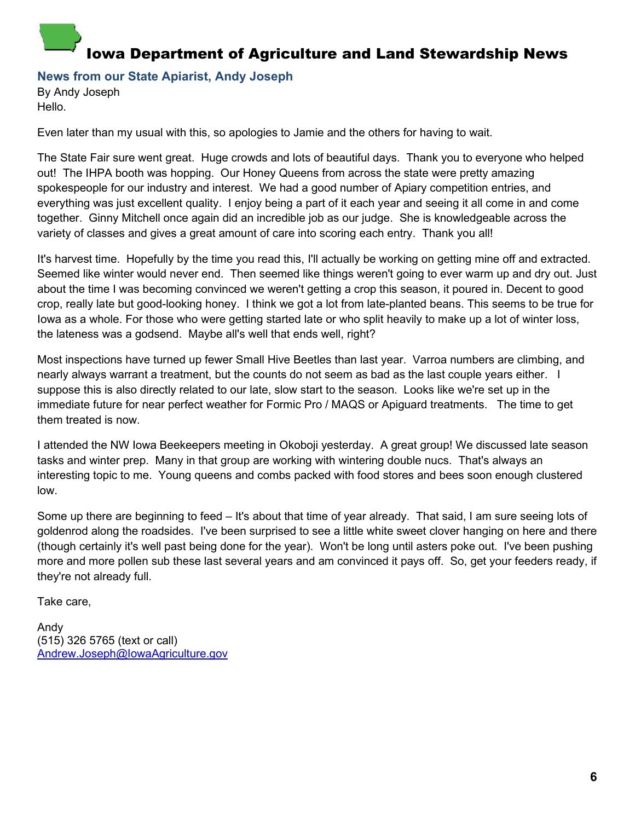# <span id="page-5-0"></span>Iowa Department of Agriculture and Land Stewardship News

<span id="page-5-1"></span>**News from our State Apiarist, Andy Joseph** 

By Andy Joseph Hello.

Even later than my usual with this, so apologies to Jamie and the others for having to wait.

The State Fair sure went great. Huge crowds and lots of beautiful days. Thank you to everyone who helped out! The IHPA booth was hopping. Our Honey Queens from across the state were pretty amazing spokespeople for our industry and interest. We had a good number of Apiary competition entries, and everything was just excellent quality. I enjoy being a part of it each year and seeing it all come in and come together. Ginny Mitchell once again did an incredible job as our judge. She is knowledgeable across the variety of classes and gives a great amount of care into scoring each entry. Thank you all!

It's harvest time. Hopefully by the time you read this, I'll actually be working on getting mine off and extracted. Seemed like winter would never end. Then seemed like things weren't going to ever warm up and dry out. Just about the time I was becoming convinced we weren't getting a crop this season, it poured in. Decent to good crop, really late but good-looking honey. I think we got a lot from late-planted beans. This seems to be true for Iowa as a whole. For those who were getting started late or who split heavily to make up a lot of winter loss, the lateness was a godsend. Maybe all's well that ends well, right?

Most inspections have turned up fewer Small Hive Beetles than last year. Varroa numbers are climbing, and nearly always warrant a treatment, but the counts do not seem as bad as the last couple years either. I suppose this is also directly related to our late, slow start to the season. Looks like we're set up in the immediate future for near perfect weather for Formic Pro / MAQS or Apiguard treatments. The time to get them treated is now.

I attended the NW Iowa Beekeepers meeting in Okoboji yesterday. A great group! We discussed late season tasks and winter prep. Many in that group are working with wintering double nucs. That's always an interesting topic to me. Young queens and combs packed with food stores and bees soon enough clustered low.

Some up there are beginning to feed – It's about that time of year already. That said, I am sure seeing lots of goldenrod along the roadsides. I've been surprised to see a little white sweet clover hanging on here and there (though certainly it's well past being done for the year). Won't be long until asters poke out. I've been pushing more and more pollen sub these last several years and am convinced it pays off. So, get your feeders ready, if they're not already full.

Take care,

Andy (515) 326 5765 (text or call) [Andrew.Joseph@IowaAgriculture.gov](mailto:Andrew.Joseph@IowaAgriculture.gov)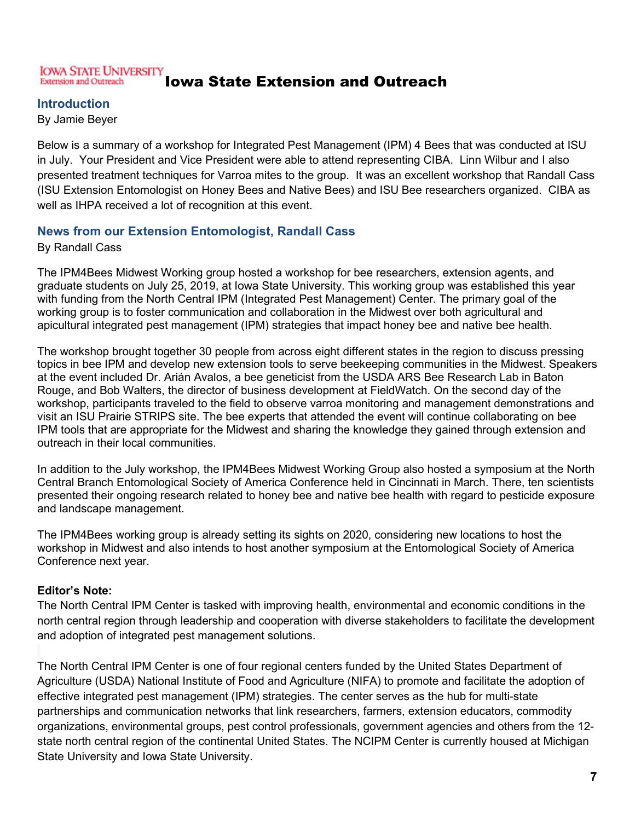#### <span id="page-6-0"></span>**IOWA STATE UNIVERSITY** Iowa State Extension and Outreach **Extension and Outreach**

## **Introduction**

By Jamie Beyer

Below is a summary of a workshop for Integrated Pest Management (IPM) 4 Bees that was conducted at ISU in July. Your President and Vice President were able to attend representing CIBA. Linn Wilbur and I also presented treatment techniques for Varroa mites to the group. It was an excellent workshop that Randall Cass (ISU Extension Entomologist on Honey Bees and Native Bees) and ISU Bee researchers organized. CIBA as well as IHPA received a lot of recognition at this event.

# <span id="page-6-1"></span>**News from our Extension Entomologist, Randall Cass**

By Randall Cass

The IPM4Bees Midwest Working group hosted a workshop for bee researchers, extension agents, and graduate students on July 25, 2019, at Iowa State University. This working group was established this year with funding from the North Central IPM (Integrated Pest Management) Center. The primary goal of the working group is to foster communication and collaboration in the Midwest over both agricultural and apicultural integrated pest management (IPM) strategies that impact honey bee and native bee health.

The workshop brought together 30 people from across eight different states in the region to discuss pressing topics in bee IPM and develop new extension tools to serve beekeeping communities in the Midwest. Speakers at the event included Dr. Arián Avalos, a bee geneticist from the USDA ARS Bee Research Lab in Baton Rouge, and Bob Walters, the director of business development at FieldWatch. On the second day of the workshop, participants traveled to the field to observe varroa monitoring and management demonstrations and visit an ISU Prairie STRIPS site. The bee experts that attended the event will continue collaborating on bee IPM tools that are appropriate for the Midwest and sharing the knowledge they gained through extension and outreach in their local communities.

In addition to the July workshop, the IPM4Bees Midwest Working Group also hosted a symposium at the North Central Branch Entomological Society of America Conference held in Cincinnati in March. There, ten scientists presented their ongoing research related to honey bee and native bee health with regard to pesticide exposure and landscape management.

The IPM4Bees working group is already setting its sights on 2020, considering new locations to host the workshop in Midwest and also intends to host another symposium at the Entomological Society of America Conference next year.

### **Editor's Note:**

The North Central IPM Center is tasked with improving health, environmental and economic conditions in the north central region through leadership and cooperation with diverse stakeholders to facilitate the development and adoption of integrated pest management solutions.

The North Central IPM Center is one of four regional centers funded by the United States Department of Agriculture (USDA) National Institute of Food and Agriculture (NIFA) to promote and facilitate the adoption of effective integrated pest management (IPM) strategies. The center serves as the hub for multi-state partnerships and communication networks that link researchers, farmers, extension educators, commodity organizations, environmental groups, pest control professionals, government agencies and others from the 12 state north central region of the continental United States. The NCIPM Center is currently housed at Michigan State University and Iowa State University.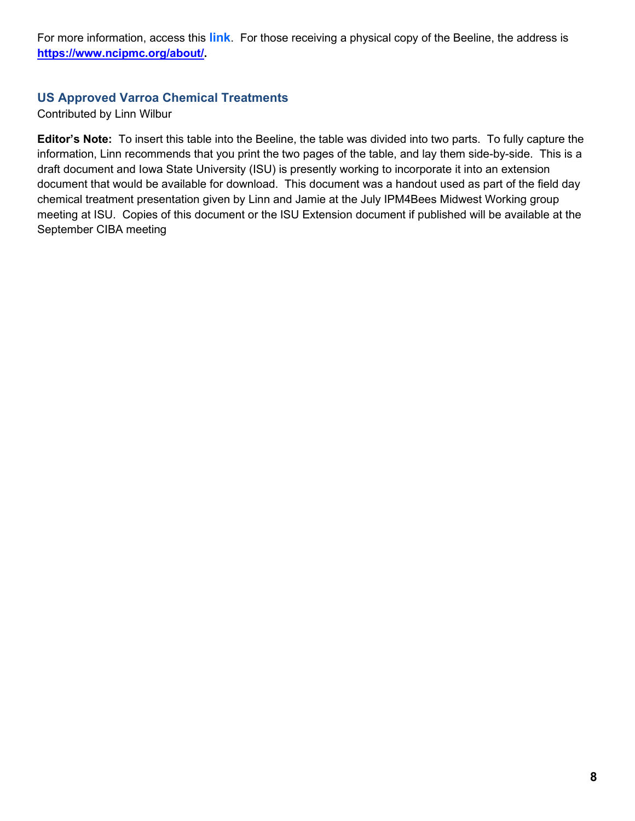For more information, access this **[link](https://www.ncipmc.org/about/)**. For those receiving a physical copy of the Beeline, the address is **[https://www.ncipmc.org/about/.](https://www.ncipmc.org/about/)**

# <span id="page-7-0"></span>**US Approved Varroa Chemical Treatments**

Contributed by Linn Wilbur

**Editor's Note:** To insert this table into the Beeline, the table was divided into two parts. To fully capture the information, Linn recommends that you print the two pages of the table, and lay them side-by-side. This is a draft document and Iowa State University (ISU) is presently working to incorporate it into an extension document that would be available for download. This document was a handout used as part of the field day chemical treatment presentation given by Linn and Jamie at the July IPM4Bees Midwest Working group meeting at ISU. Copies of this document or the ISU Extension document if published will be available at the September CIBA meeting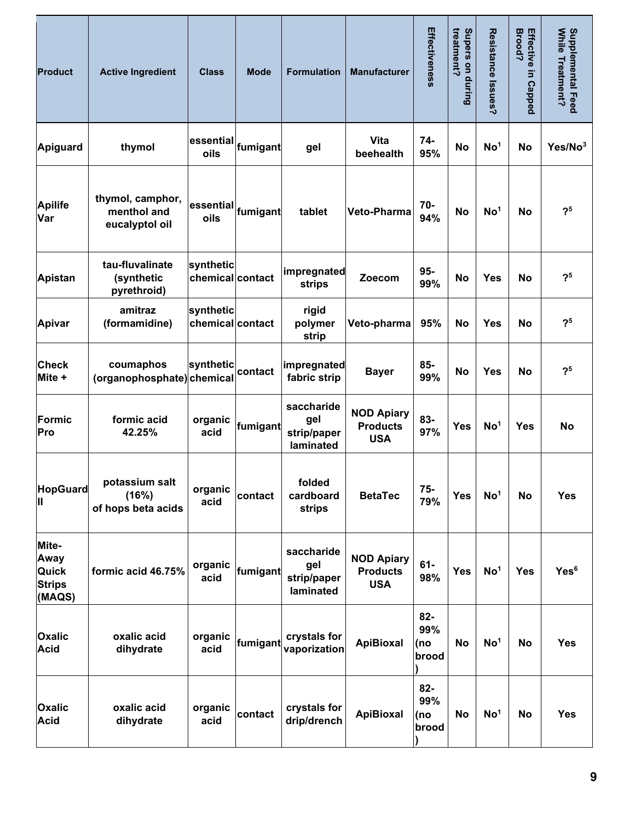| <b>Product</b>                                    | <b>Active Ingredient</b>                          | <b>Class</b>                                                     | <b>Mode</b> | <b>Formulation</b>                            | <b>Manufacturer</b>                                | Effectiveness                 | treatment?<br>Supers on during | Resistance Issues? | <b>Brood?</b><br>Effective<br>5<br><b>Capped</b> | Supplemental Feed<br>While Treatment? |
|---------------------------------------------------|---------------------------------------------------|------------------------------------------------------------------|-------------|-----------------------------------------------|----------------------------------------------------|-------------------------------|--------------------------------|--------------------|--------------------------------------------------|---------------------------------------|
| Apiguard                                          | thymol                                            | essential <sub>tumigant</sub><br>oils                            |             | gel                                           | Vita<br>beehealth                                  | 74-<br>95%                    | <b>No</b>                      | No <sup>1</sup>    | <b>No</b>                                        | Yes/No <sup>3</sup>                   |
| <b>Apilife</b><br>Var                             | thymol, camphor,<br>menthol and<br>eucalyptol oil | $\left \text{essential}\right $ fumigant $\left \text{}$<br>oils |             | tablet                                        | Veto-Pharma                                        | 70-<br>94%                    | <b>No</b>                      | No <sup>1</sup>    | <b>No</b>                                        | 2 <sub>5</sub>                        |
| <b>Apistan</b>                                    | tau-fluvalinate<br>(synthetic<br>pyrethroid)      | synthetic<br>chemical contact                                    |             | impregnated<br>strips                         | Zoecom                                             | $95-$<br>99%                  | No                             | <b>Yes</b>         | No                                               | 2 <sup>5</sup>                        |
| <b>Apivar</b>                                     | amitraz<br>(formamidine)                          | synthetic<br>chemical contact                                    |             | rigid<br>polymer<br>strip                     | Veto-pharma                                        | 95%                           | No                             | <b>Yes</b>         | <b>No</b>                                        | 2 <sup>5</sup>                        |
| <b>Check</b><br>Mite +                            | coumaphos<br>(organophosphate) chemical           | synthetic                                                        | contact     | impregnated<br>fabric strip                   | <b>Bayer</b>                                       | 85-<br>99%                    | <b>No</b>                      | <b>Yes</b>         | No                                               | 2 <sup>5</sup>                        |
| Formic<br>Pro                                     | formic acid<br>42.25%                             | organic<br>acid                                                  | fumigant    | saccharide<br>gel<br>strip/paper<br>laminated | <b>NOD Apiary</b><br><b>Products</b><br><b>USA</b> | 83-<br>97%                    | <b>Yes</b>                     | No <sup>1</sup>    | <b>Yes</b>                                       | <b>No</b>                             |
| <b>HopGuard</b><br>Ш                              | potassium salt<br>(16%)<br>of hops beta acids     | organic<br>acid                                                  | contact     | folded<br>cardboard<br>strips                 | <b>BetaTec</b>                                     | $75-$<br>79%                  | <b>Yes</b>                     | No <sup>1</sup>    | No                                               | <b>Yes</b>                            |
| Mite-<br>Away<br>Quick<br><b>Strips</b><br>(MAQS) | formic acid 46.75%                                | organic<br>acid                                                  | fumigant    | saccharide<br>gel<br>strip/paper<br>laminated | <b>NOD Apiary</b><br><b>Products</b><br><b>USA</b> | $61 -$<br>98%                 | <b>Yes</b>                     | No <sup>1</sup>    | <b>Yes</b>                                       | Yes <sup>6</sup>                      |
| <b>Oxalic</b><br><b>Acid</b>                      | oxalic acid<br>dihydrate                          | organic<br>acid                                                  | fumigant    | crystals for<br>vaporization                  | <b>ApiBioxal</b>                                   | $82 -$<br>99%<br>(no<br>brood | No                             | No <sup>1</sup>    | No                                               | <b>Yes</b>                            |
| <b>Oxalic</b><br><b>Acid</b>                      | oxalic acid<br>dihydrate                          | organic<br>acid                                                  | contact     | crystals for<br>drip/drench                   | <b>ApiBioxal</b>                                   | $82 -$<br>99%<br>(no<br>brood | No                             | No <sup>1</sup>    | <b>No</b>                                        | <b>Yes</b>                            |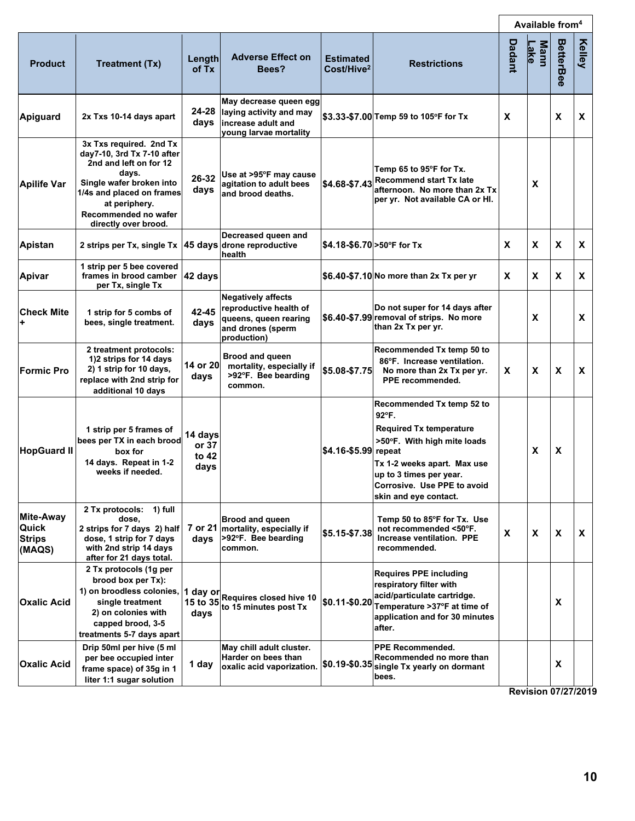|                                               |                                                                                                                                                                                                                    |                                   |                                                                                                                  |                                            |                                                                                                                                                                                                                       |        | Available from <sup>4</sup> |                  |        |
|-----------------------------------------------|--------------------------------------------------------------------------------------------------------------------------------------------------------------------------------------------------------------------|-----------------------------------|------------------------------------------------------------------------------------------------------------------|--------------------------------------------|-----------------------------------------------------------------------------------------------------------------------------------------------------------------------------------------------------------------------|--------|-----------------------------|------------------|--------|
| <b>Product</b>                                | <b>Treatment (Tx)</b>                                                                                                                                                                                              | Length<br>of Tx                   | <b>Adverse Effect on</b><br>Bees?                                                                                | <b>Estimated</b><br>Cost/Hive <sup>2</sup> | <b>Restrictions</b>                                                                                                                                                                                                   | Dadant | <b>Mann</b><br><u>Lake</u>  | <b>BetterBee</b> | Kelley |
| Apiguard                                      | 2x Txs 10-14 days apart                                                                                                                                                                                            | 24-28<br>days                     | May decrease queen egg<br>laying activity and may<br>increase adult and<br>young larvae mortality                |                                            | \$3.33-\$7.00 Temp 59 to 105°F for Tx                                                                                                                                                                                 | X      |                             | X                | X      |
| <b>Apilife Var</b>                            | 3x Txs required. 2nd Tx<br>day7-10, 3rd Tx 7-10 after<br>2nd and left on for 12<br>days.<br>Single wafer broken into<br>1/4s and placed on frames<br>at periphery.<br>Recommended no wafer<br>directly over brood. | 26-32<br>days                     | Use at >95°F may cause<br>agitation to adult bees<br>and brood deaths.                                           | \$4.68-\$7.43                              | Temp 65 to 95°F for Tx.<br><b>Recommend start Tx late</b><br>afternoon. No more than 2x Tx<br>per yr. Not available CA or HI.                                                                                         |        | X                           |                  |        |
| Apistan                                       | 2 strips per Tx, single Tx 45 days                                                                                                                                                                                 |                                   | Decreased queen and<br>drone reproductive<br>health                                                              |                                            | \$4.18-\$6.70 > 50°F for Tx                                                                                                                                                                                           | X      | X                           | X                | X      |
| <b>Apivar</b>                                 | 1 strip per 5 bee covered<br>frames in brood camber<br>per Tx, single Tx                                                                                                                                           | 42 days                           |                                                                                                                  |                                            | \$6.40-\$7.10 No more than 2x Tx per yr                                                                                                                                                                               | X      | X                           | X                | X      |
| <b>Check Mite</b><br>÷                        | 1 strip for 5 combs of<br>bees, single treatment.                                                                                                                                                                  | 42-45<br>days                     | <b>Negatively affects</b><br>reproductive health of<br>queens, queen rearing<br>and drones (sperm<br>production) |                                            | Do not super for 14 days after<br>\$6.40-\$7.99 removal of strips. No more<br>than 2x Tx per yr.                                                                                                                      |        | X                           |                  | X      |
| <b>Formic Pro</b>                             | 2 treatment protocols:<br>1)2 strips for 14 days<br>2) 1 strip for 10 days,<br>replace with 2nd strip for<br>additional 10 days                                                                                    | 14 or 20<br>days                  | <b>Brood and queen</b><br>mortality, especially if<br>>92°F. Bee bearding<br>common.                             | \$5.08-\$7.75                              | Recommended Tx temp 50 to<br>86°F. Increase ventilation.<br>No more than 2x Tx per yr.<br>PPE recommended.                                                                                                            | X      | X                           | X                | X      |
| <b>HopGuard II</b>                            | 1 strip per 5 frames of<br>bees per TX in each brood<br>box for<br>14 days. Repeat in 1-2<br>weeks if needed.                                                                                                      | 14 days<br>or 37<br>to 42<br>days |                                                                                                                  | \$4.16-\$5.99 repeat                       | Recommended Tx temp 52 to<br>92°F.<br><b>Required Tx temperature</b><br>>50°F. With high mite loads<br>Tx 1-2 weeks apart. Max use<br>up to 3 times per year.<br>Corrosive. Use PPE to avoid<br>skin and eye contact. |        | X                           | X                |        |
| Mite-Away<br>Quick<br><b>Strips</b><br>(MAQS) | 2 Tx protocols: 1) full<br>dose.<br>2 strips for 7 days 2) half<br>dose, 1 strip for 7 days<br>with 2nd strip 14 days<br>after for 21 days total.                                                                  | days                              | Brood and queen<br>7 or 21 mortality, especially if<br>>92°F. Bee bearding<br>common.                            | \$5.15-\$7.38                              | Temp 50 to 85°F for Tx. Use<br>not recommended <50°F.<br>Increase ventilation. PPE<br>recommended.                                                                                                                    | X      | X                           | X                | X      |
| <b>Oxalic Acid</b>                            | 2 Tx protocols (1g per<br>brood box per Tx):<br>1) on broodless colonies, 1 day or<br>single treatment<br>2) on colonies with<br>capped brood, 3-5<br>treatments 5-7 days apart                                    | 15 to 35<br>days                  | Requires closed hive 10<br>to 15 minutes post Tx                                                                 | \$0.11-\$0.20                              | <b>Requires PPE including</b><br>respiratory filter with<br>acid/particulate cartridge.<br>Temperature >37°F at time of<br>application and for 30 minutes<br>after.                                                   |        |                             | x                |        |
| <b>Oxalic Acid</b>                            | Drip 50ml per hive (5 ml<br>per bee occupied inter<br>frame space) of 35g in 1<br>liter 1:1 sugar solution                                                                                                         | 1 day                             | May chill adult cluster.<br>Harder on bees than<br>oxalic acid vaporization.                                     |                                            | <b>PPE Recommended.</b><br>Recommended no more than<br>\$0.19-\$0.35 single Tx yearly on dormant<br>bees.                                                                                                             |        |                             | x                |        |

**Revision 07/27/2019**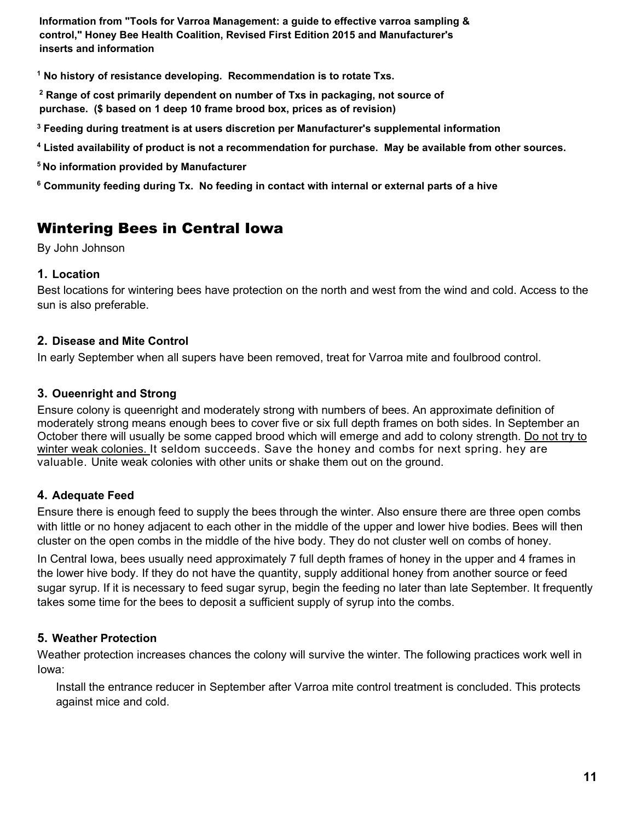**Information from "Tools for Varroa Management: a guide to effective varroa sampling & control," Honey Bee Health Coalition, Revised First Edition 2015 and Manufacturer's inserts and information** 

**1 No history of resistance developing. Recommendation is to rotate Txs.** 

**2 Range of cost primarily dependent on number of Txs in packaging, not source of purchase. (\$ based on 1 deep 10 frame brood box, prices as of revision)**

**3 Feeding during treatment is at users discretion per Manufacturer's supplemental information** 

**4 Listed availability of product is not a recommendation for purchase. May be available from other sources.**

**<sup>5</sup>No information provided by Manufacturer** 

**6 Community feeding during Tx. No feeding in contact with internal or external parts of a hive** 

# <span id="page-10-0"></span>Wintering Bees in Central Iowa

By John Johnson

# **1. Location**

Best locations for wintering bees have protection on the north and west from the wind and cold. Access to the sun is also preferable.

## **2. Disease and Mite Control**

In early September when all supers have been removed, treat for Varroa mite and foulbrood control.

## **3. Oueenright and Strong**

Ensure colony is queenright and moderately strong with numbers of bees. An approximate definition of moderately strong means enough bees to cover five or six full depth frames on both sides. In September an October there will usually be some capped brood which will emerge and add to colony strength. Do not try to winter weak colonies. It seldom succeeds. Save the honey and combs for next spring. hey are valuable. Unite weak colonies with other units or shake them out on the ground.

# **4. Adequate Feed**

Ensure there is enough feed to supply the bees through the winter. Also ensure there are three open combs with little or no honey adjacent to each other in the middle of the upper and lower hive bodies. Bees will then cluster on the open combs in the middle of the hive body. They do not cluster well on combs of honey.

In Central Iowa, bees usually need approximately 7 full depth frames of honey in the upper and 4 frames in the lower hive body. If they do not have the quantity, supply additional honey from another source or feed sugar syrup. If it is necessary to feed sugar syrup, begin the feeding no later than late September. It frequently takes some time for the bees to deposit a sufficient supply of syrup into the combs.

# **5. Weather Protection**

Weather protection increases chances the colony will survive the winter. The following practices work well in Iowa:

Install the entrance reducer in September after Varroa mite control treatment is concluded. This protects against mice and cold.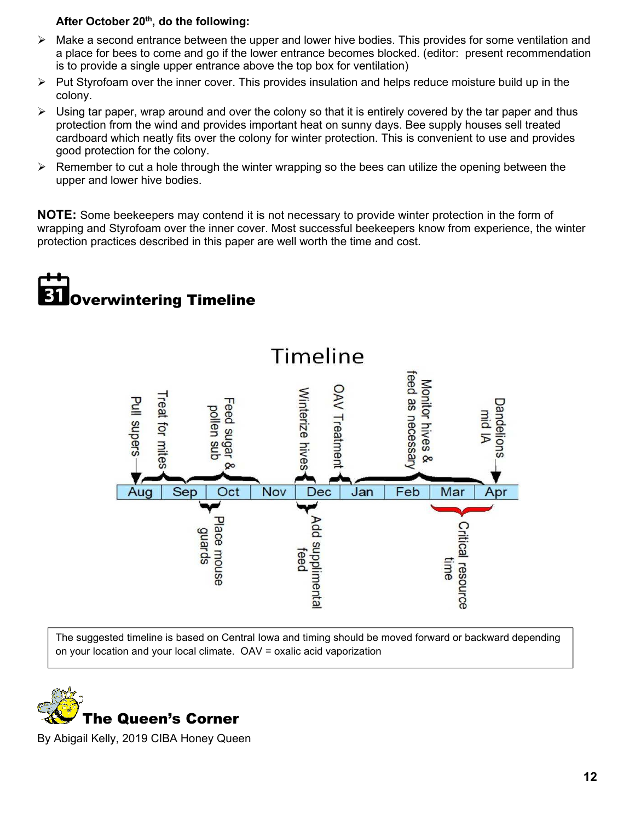### **After October 20th, do the following:**

- $\triangleright$  Make a second entrance between the upper and lower hive bodies. This provides for some ventilation and a place for bees to come and go if the lower entrance becomes blocked. (editor: present recommendation is to provide a single upper entrance above the top box for ventilation)
- $\triangleright$  Put Styrofoam over the inner cover. This provides insulation and helps reduce moisture build up in the colony.
- $\triangleright$  Using tar paper, wrap around and over the colony so that it is entirely covered by the tar paper and thus protection from the wind and provides important heat on sunny days. Bee supply houses sell treated cardboard which neatly fits over the colony for winter protection. This is convenient to use and provides good protection for the colony.
- $\triangleright$  Remember to cut a hole through the winter wrapping so the bees can utilize the opening between the upper and lower hive bodies.

**NOTE:** Some beekeepers may contend it is not necessary to provide winter protection in the form of wrapping and Styrofoam over the inner cover. Most successful beekeepers know from experience, the winter protection practices described in this paper are well worth the time and cost.

# <span id="page-11-0"></span>Overwintering Timeline



The suggested timeline is based on Central Iowa and timing should be moved forward or backward depending on your location and your local climate. OAV = oxalic acid vaporization

<span id="page-11-1"></span>

By Abigail Kelly, 2019 CIBA Honey Queen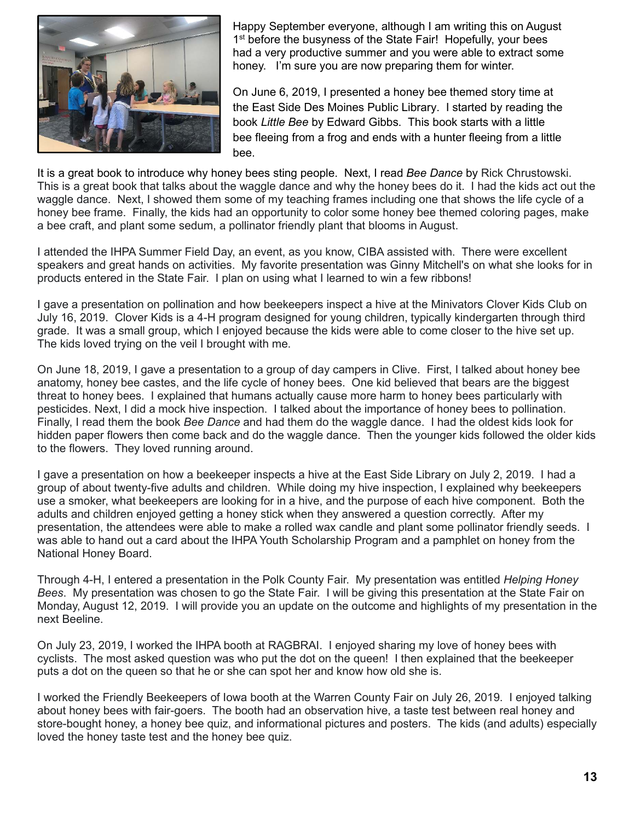

Happy September everyone, although I am writing this on August 1<sup>st</sup> before the busyness of the State Fair! Hopefully, your bees had a very productive summer and you were able to extract some honey. I'm sure you are now preparing them for winter.

On June 6, 2019, I presented a honey bee themed story time at the East Side Des Moines Public Library. I started by reading the book *Little Bee* by Edward Gibbs. This book starts with a little bee fleeing from a frog and ends with a hunter fleeing from a little bee.

It is a great book to introduce why honey bees sting people. Next, I read *Bee Dance* by Rick Chrustowski. This is a great book that talks about the waggle dance and why the honey bees do it. I had the kids act out the waggle dance. Next, I showed them some of my teaching frames including one that shows the life cycle of a honey bee frame. Finally, the kids had an opportunity to color some honey bee themed coloring pages, make a bee craft, and plant some sedum, a pollinator friendly plant that blooms in August.

I attended the IHPA Summer Field Day, an event, as you know, CIBA assisted with. There were excellent speakers and great hands on activities. My favorite presentation was Ginny Mitchell's on what she looks for in products entered in the State Fair. I plan on using what I learned to win a few ribbons!

I gave a presentation on pollination and how beekeepers inspect a hive at the Minivators Clover Kids Club on July 16, 2019. Clover Kids is a 4-H program designed for young children, typically kindergarten through third grade. It was a small group, which I enjoyed because the kids were able to come closer to the hive set up. The kids loved trying on the veil I brought with me.

On June 18, 2019, I gave a presentation to a group of day campers in Clive. First, I talked about honey bee anatomy, honey bee castes, and the life cycle of honey bees. One kid believed that bears are the biggest threat to honey bees. I explained that humans actually cause more harm to honey bees particularly with pesticides. Next, I did a mock hive inspection. I talked about the importance of honey bees to pollination. Finally, I read them the book *Bee Dance* and had them do the waggle dance. I had the oldest kids look for hidden paper flowers then come back and do the waggle dance. Then the younger kids followed the older kids to the flowers. They loved running around.

I gave a presentation on how a beekeeper inspects a hive at the East Side Library on July 2, 2019. I had a group of about twenty-five adults and children. While doing my hive inspection, I explained why beekeepers use a smoker, what beekeepers are looking for in a hive, and the purpose of each hive component. Both the adults and children enjoyed getting a honey stick when they answered a question correctly. After my presentation, the attendees were able to make a rolled wax candle and plant some pollinator friendly seeds. I was able to hand out a card about the IHPA Youth Scholarship Program and a pamphlet on honey from the National Honey Board.

Through 4-H, I entered a presentation in the Polk County Fair. My presentation was entitled *Helping Honey Bees*. My presentation was chosen to go the State Fair. I will be giving this presentation at the State Fair on Monday, August 12, 2019. I will provide you an update on the outcome and highlights of my presentation in the next Beeline.

On July 23, 2019, I worked the IHPA booth at RAGBRAI. I enjoyed sharing my love of honey bees with cyclists. The most asked question was who put the dot on the queen! I then explained that the beekeeper puts a dot on the queen so that he or she can spot her and know how old she is.

I worked the Friendly Beekeepers of Iowa booth at the Warren County Fair on July 26, 2019. I enjoyed talking about honey bees with fair-goers. The booth had an observation hive, a taste test between real honey and store-bought honey, a honey bee quiz, and informational pictures and posters. The kids (and adults) especially loved the honey taste test and the honey bee quiz.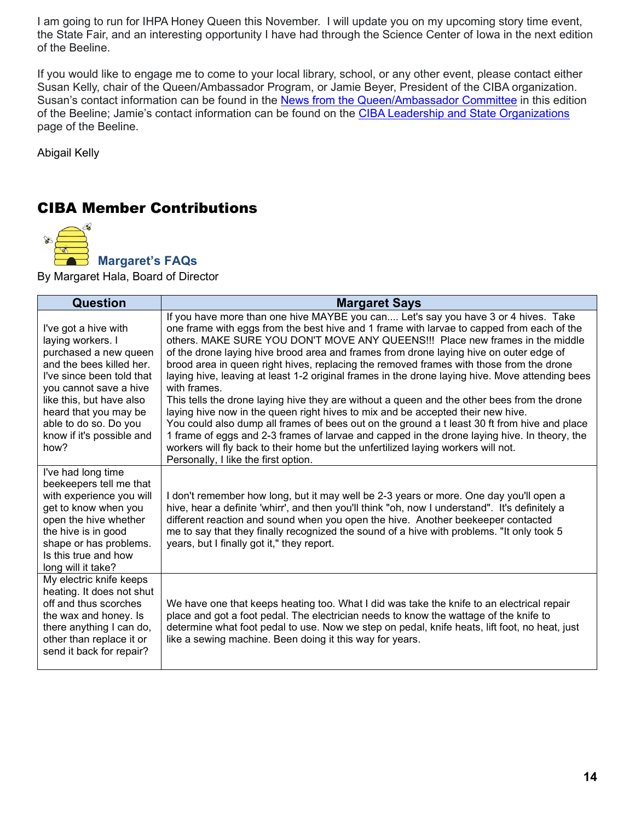I am going to run for IHPA Honey Queen this November. I will update you on my upcoming story time event, the State Fair, and an interesting opportunity I have had through the Science Center of Iowa in the next edition of the Beeline.

If you would like to engage me to come to your local library, school, or any other event, please contact either Susan Kelly, chair of the Queen/Ambassador Program, or Jamie Beyer, President of the CIBA organization. Susan's contact information can be found in the [News from the Queen/Ambassador Committee](#page-3-0) in this edition of the Beeline; Jamie's contact information can be found on the [CIBA Leadership and State Organizations](#page-15-0) page of the Beeline.

Abigail Kelly

# <span id="page-13-0"></span>CIBA Member Contributions

<span id="page-13-1"></span>

 **Margaret's FAQs** 

By Margaret Hala, Board of Director

| <b>Question</b>                                                                                                                                                                                                                                                          | <b>Margaret Says</b>                                                                                                                                                                                                                                                                                                                                                                                                                                                                                                                                                                                                                                                                                                                                                                                                                                                                                                                                                                                                                                                                    |
|--------------------------------------------------------------------------------------------------------------------------------------------------------------------------------------------------------------------------------------------------------------------------|-----------------------------------------------------------------------------------------------------------------------------------------------------------------------------------------------------------------------------------------------------------------------------------------------------------------------------------------------------------------------------------------------------------------------------------------------------------------------------------------------------------------------------------------------------------------------------------------------------------------------------------------------------------------------------------------------------------------------------------------------------------------------------------------------------------------------------------------------------------------------------------------------------------------------------------------------------------------------------------------------------------------------------------------------------------------------------------------|
| I've got a hive with<br>laying workers. I<br>purchased a new queen<br>and the bees killed her.<br>I've since been told that<br>you cannot save a hive<br>like this, but have also<br>heard that you may be<br>able to do so. Do you<br>know if it's possible and<br>how? | If you have more than one hive MAYBE you can Let's say you have 3 or 4 hives. Take<br>one frame with eggs from the best hive and 1 frame with larvae to capped from each of the<br>others. MAKE SURE YOU DON'T MOVE ANY QUEENS!!! Place new frames in the middle<br>of the drone laying hive brood area and frames from drone laying hive on outer edge of<br>brood area in queen right hives, replacing the removed frames with those from the drone<br>laying hive, leaving at least 1-2 original frames in the drone laying hive. Move attending bees<br>with frames.<br>This tells the drone laying hive they are without a queen and the other bees from the drone<br>laying hive now in the queen right hives to mix and be accepted their new hive.<br>You could also dump all frames of bees out on the ground a t least 30 ft from hive and place<br>1 frame of eggs and 2-3 frames of larvae and capped in the drone laying hive. In theory, the<br>workers will fly back to their home but the unfertilized laying workers will not.<br>Personally, I like the first option. |
| I've had long time<br>beekeepers tell me that<br>with experience you will<br>get to know when you<br>open the hive whether<br>the hive is in good<br>shape or has problems.<br>Is this true and how<br>long will it take?                                                | I don't remember how long, but it may well be 2-3 years or more. One day you'll open a<br>hive, hear a definite 'whirr', and then you'll think "oh, now I understand". It's definitely a<br>different reaction and sound when you open the hive. Another beekeeper contacted<br>me to say that they finally recognized the sound of a hive with problems. "It only took 5<br>years, but I finally got it," they report.                                                                                                                                                                                                                                                                                                                                                                                                                                                                                                                                                                                                                                                                 |
| My electric knife keeps<br>heating. It does not shut<br>off and thus scorches<br>the wax and honey. Is<br>there anything I can do,<br>other than replace it or<br>send it back for repair?                                                                               | We have one that keeps heating too. What I did was take the knife to an electrical repair<br>place and got a foot pedal. The electrician needs to know the wattage of the knife to<br>determine what foot pedal to use. Now we step on pedal, knife heats, lift foot, no heat, just<br>like a sewing machine. Been doing it this way for years.                                                                                                                                                                                                                                                                                                                                                                                                                                                                                                                                                                                                                                                                                                                                         |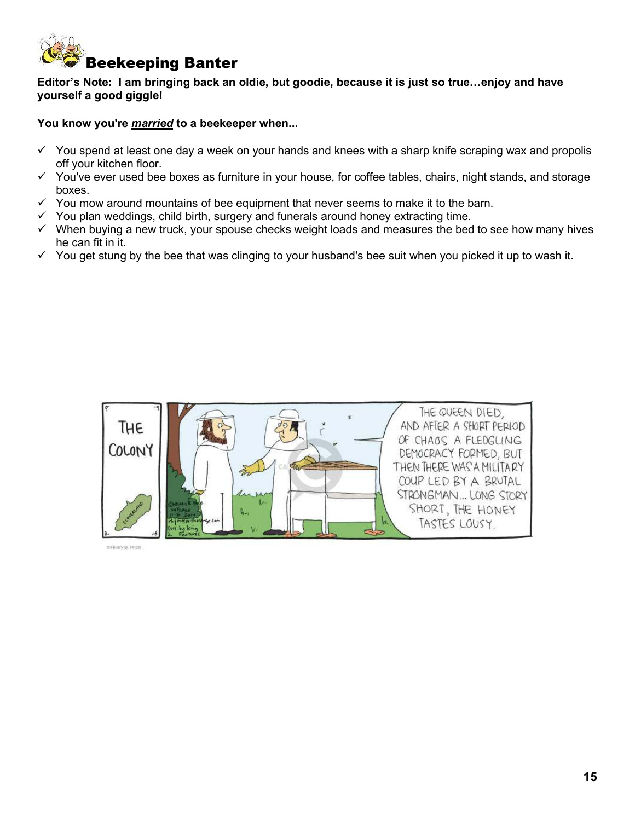<span id="page-14-0"></span>

**Editor's Note: I am bringing back an oldie, but goodie, because it is just so true…enjoy and have yourself a good giggle!** 

**You know you're** *married* **to a beekeeper when...** 

- $\checkmark$  You spend at least one day a week on your hands and knees with a sharp knife scraping wax and propolis off your kitchen floor.
- $\checkmark$  You've ever used bee boxes as furniture in your house, for coffee tables, chairs, night stands, and storage boxes.
- $\checkmark$  You mow around mountains of bee equipment that never seems to make it to the barn.
- $\checkmark$  You plan weddings, child birth, surgery and funerals around honey extracting time.
- $\checkmark$  When buying a new truck, your spouse checks weight loads and measures the bed to see how many hives he can fit in it.
- $\checkmark$  You get stung by the bee that was clinging to your husband's bee suit when you picked it up to wash it.